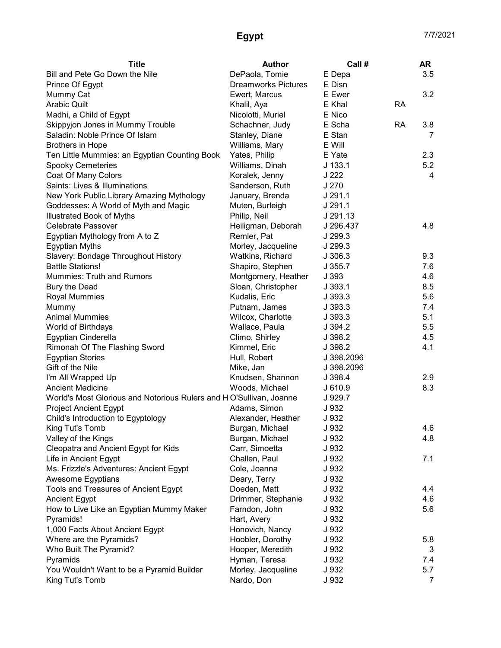| <b>Title</b>                                                       | <b>Author</b>              | Call #     |           | <b>AR</b> |
|--------------------------------------------------------------------|----------------------------|------------|-----------|-----------|
| Bill and Pete Go Down the Nile                                     | DePaola, Tomie             | E Depa     |           | 3.5       |
| Prince Of Egypt                                                    | <b>Dreamworks Pictures</b> | E Disn     |           |           |
| Mummy Cat                                                          | Ewert, Marcus              | E Ewer     |           | 3.2       |
| <b>Arabic Quilt</b>                                                | Khalil, Aya                | E Khal     | <b>RA</b> |           |
| Madhi, a Child of Egypt                                            | Nicolotti, Muriel          | E Nico     |           |           |
| Skippyjon Jones in Mummy Trouble                                   | Schachner, Judy            | E Scha     | <b>RA</b> | 3.8       |
| Saladin: Noble Prince Of Islam                                     | Stanley, Diane             | E Stan     |           | 7         |
| <b>Brothers in Hope</b>                                            | Williams, Mary             | E Will     |           |           |
| Ten Little Mummies: an Egyptian Counting Book                      | Yates, Philip              | E Yate     |           | 2.3       |
| <b>Spooky Cemeteries</b>                                           | Williams, Dinah            | $J$ 133.1  |           | 5.2       |
| Coat Of Many Colors                                                | Koralek, Jenny             | J 222      |           | 4         |
| Saints: Lives & Illuminations                                      | Sanderson, Ruth            | J 270      |           |           |
| New York Public Library Amazing Mythology                          | January, Brenda            | J291.1     |           |           |
| Goddesses: A World of Myth and Magic                               | Muten, Burleigh            | J291.1     |           |           |
| Illustrated Book of Myths                                          | Philip, Neil               | J 291.13   |           |           |
| <b>Celebrate Passover</b>                                          | Heiligman, Deborah         | J 296.437  |           | 4.8       |
| Egyptian Mythology from A to Z                                     | Remler, Pat                | J 299.3    |           |           |
| <b>Egyptian Myths</b>                                              | Morley, Jacqueline         | J 299.3    |           |           |
| Slavery: Bondage Throughout History                                | Watkins, Richard           | J 306.3    |           | 9.3       |
| <b>Battle Stations!</b>                                            | Shapiro, Stephen           | J.355.7    |           | 7.6       |
| Mummies: Truth and Rumors                                          | Montgomery, Heather        | J 393      |           | 4.6       |
| Bury the Dead                                                      | Sloan, Christopher         | J.393.1    |           | 8.5       |
| <b>Royal Mummies</b>                                               | Kudalis, Eric              | J 393.3    |           | 5.6       |
| Mummy                                                              | Putnam, James              | J393.3     |           | 7.4       |
| <b>Animal Mummies</b>                                              | Wilcox, Charlotte          | J 393.3    |           | 5.1       |
| World of Birthdays                                                 | Wallace, Paula             | J 394.2    |           | 5.5       |
| Egyptian Cinderella                                                | Climo, Shirley             | J 398.2    |           | 4.5       |
| Rimonah Of The Flashing Sword                                      | Kimmel, Eric               | J 398.2    |           | 4.1       |
| <b>Egyptian Stories</b>                                            | Hull, Robert               | J 398.2096 |           |           |
| Gift of the Nile                                                   | Mike, Jan                  | J 398.2096 |           |           |
| I'm All Wrapped Up                                                 | Knudsen, Shannon           | J 398.4    |           | 2.9       |
| <b>Ancient Medicine</b>                                            | Woods, Michael             | J 610.9    |           | 8.3       |
| World's Most Glorious and Notorious Rulers and HO'Sullivan, Joanne |                            | J 929.7    |           |           |
| <b>Project Ancient Egypt</b>                                       | Adams, Simon               | J 932      |           |           |
| Child's Introduction to Egyptology                                 | Alexander, Heather         | J 932      |           |           |
| King Tut's Tomb                                                    | Burgan, Michael            | J 932      |           | 4.6       |
| Valley of the Kings                                                | Burgan, Michael            | J 932      |           | 4.8       |
| Cleopatra and Ancient Egypt for Kids                               | Carr, Simoetta             | J 932      |           |           |
| Life in Ancient Egypt                                              | Challen, Paul              | J 932      |           | 7.1       |
| Ms. Frizzle's Adventures: Ancient Egypt                            | Cole, Joanna               | J 932      |           |           |
| Awesome Egyptians                                                  | Deary, Terry               | J 932      |           |           |
| Tools and Treasures of Ancient Egypt                               | Doeden, Matt               | J 932      |           | 4.4       |
| <b>Ancient Egypt</b>                                               | Drimmer, Stephanie         | J 932      |           | 4.6       |
| How to Live Like an Egyptian Mummy Maker                           | Farndon, John              | J 932      |           | 5.6       |
| Pyramids!                                                          | Hart, Avery                | J 932      |           |           |
| 1,000 Facts About Ancient Egypt                                    | Honovich, Nancy            | J 932      |           |           |
| Where are the Pyramids?                                            | Hoobler, Dorothy           | J 932      |           | 5.8       |
| Who Built The Pyramid?                                             | Hooper, Meredith           | J 932      |           | 3         |
| Pyramids                                                           | Hyman, Teresa              | J 932      |           | 7.4       |
| You Wouldn't Want to be a Pyramid Builder                          | Morley, Jacqueline         | J 932      |           | 5.7       |
| King Tut's Tomb                                                    | Nardo, Don                 | J 932      |           | 7         |